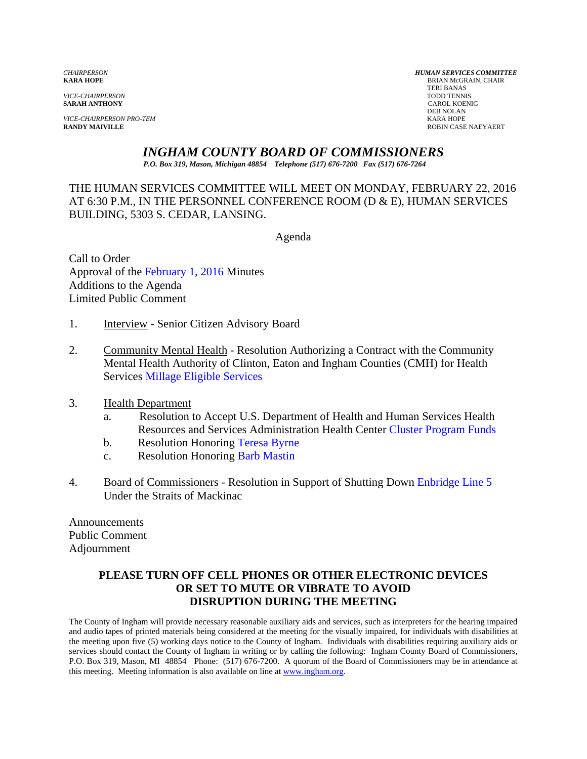**SARAH ANTHONY** 

*VICE-CHAIRPERSON PRO-TEM* KARA HOPE

*CHAIRPERSON HUMAN SERVICES COMMITTEE* **BRIAN McGRAIN, CHAIR**  TERI BANAS *VICE-CHAIRPERSON* TODD TENNIS DEB NOLAN **RANDY MAIVILLE** ROBIN CASE NAEYAERT

### *INGHAM COUNTY BOARD OF COMMISSIONERS*

*P.O. Box 319, Mason, Michigan 48854 Telephone (517) 676-7200 Fax (517) 676-7264*

THE HUMAN SERVICES COMMITTEE WILL MEET ON MONDAY, FEBRUARY 22, 2016 AT 6:30 P.M., IN THE PERSONNEL CONFERENCE ROOM (D & E), HUMAN SERVICES BUILDING, 5303 S. CEDAR, LANSING.

Agenda

Call to Order Approval of [the February 1, 2016 Minutes](#page-1-0)  Additions to the Agenda Limited Public Comment

- 1. Interview Senior Citizen Advisory Board
- 2. Community Mental Health Resolution Authorizing a Contract with the Community Men[tal Health Authority of Clinton, Eato](#page-6-0)n and Ingham Counties (CMH) for Health Services Millage Eligible Services
- 3. Health Department
	- a. Resolution to Accept U.S. Department of Health a[nd Human Services Health](#page-10-0) Resources and Services Administration Health Center Cluster Program Funds
	- b. Resolution Honori[ng Teresa Byrne](#page-12-0)
	- c. Resolution Honori[ng Barb Mastin](#page-14-0)
- 4. Board of Commissioners Resolution in Support of Shutting D[own Enbridge Line 5](#page-17-0) Under the Straits of Mackinac

Announcements Public Comment Adjournment

#### **PLEASE TURN OFF CELL PHONES OR OTHER ELECTRONIC DEVICES OR SET TO MUTE OR VIBRATE TO AVOID DISRUPTION DURING THE MEETING**

The County of Ingham will provide necessary reasonable auxiliary aids and services, such as interpreters for the hearing impaired and audio tapes of printed materials being considered at the meeting for the visually impaired, for individuals with disabilities at the meeting upon five (5) working days notice to the County of Ingham. Individuals with disabilities requiring auxiliary aids or services should contact the County of Ingham in writing or by calling the following: Ingham County Board of Commissioners, P.O. Box 319, Mason, MI 48854 Phone: (517) 676-7200. A quorum of the Board of Commissioners may be in attendance at this meeting. Meeting information is also available on line at www.ingham.org.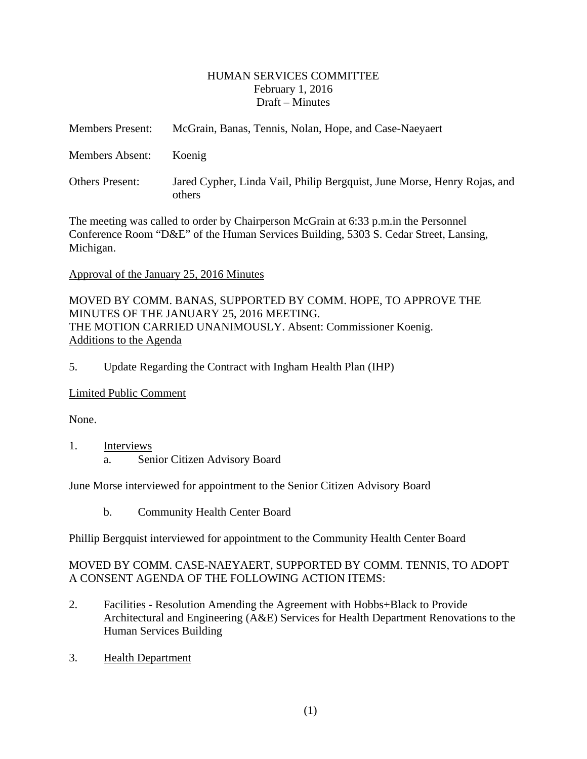#### HUMAN SERVICES COMMITTEE February 1, 2016 Draft – Minutes

<span id="page-1-0"></span>

| <b>Members Present:</b> | McGrain, Banas, Tennis, Nolan, Hope, and Case-Naeyaert                             |
|-------------------------|------------------------------------------------------------------------------------|
| Members Absent:         | Koenig                                                                             |
| <b>Others Present:</b>  | Jared Cypher, Linda Vail, Philip Bergquist, June Morse, Henry Rojas, and<br>others |

The meeting was called to order by Chairperson McGrain at 6:33 p.m.in the Personnel Conference Room "D&E" of the Human Services Building, 5303 S. Cedar Street, Lansing, Michigan.

#### Approval of the January 25, 2016 Minutes

MOVED BY COMM. BANAS, SUPPORTED BY COMM. HOPE, TO APPROVE THE MINUTES OF THE JANUARY 25, 2016 MEETING. THE MOTION CARRIED UNANIMOUSLY. Absent: Commissioner Koenig. Additions to the Agenda

5. Update Regarding the Contract with Ingham Health Plan (IHP)

#### Limited Public Comment

None.

#### 1. Interviews

a. Senior Citizen Advisory Board

June Morse interviewed for appointment to the Senior Citizen Advisory Board

b. Community Health Center Board

Phillip Bergquist interviewed for appointment to the Community Health Center Board

### MOVED BY COMM. CASE-NAEYAERT, SUPPORTED BY COMM. TENNIS, TO ADOPT A CONSENT AGENDA OF THE FOLLOWING ACTION ITEMS:

- 2. Facilities Resolution Amending the Agreement with Hobbs+Black to Provide Architectural and Engineering (A&E) Services for Health Department Renovations to the Human Services Building
- 3. Health Department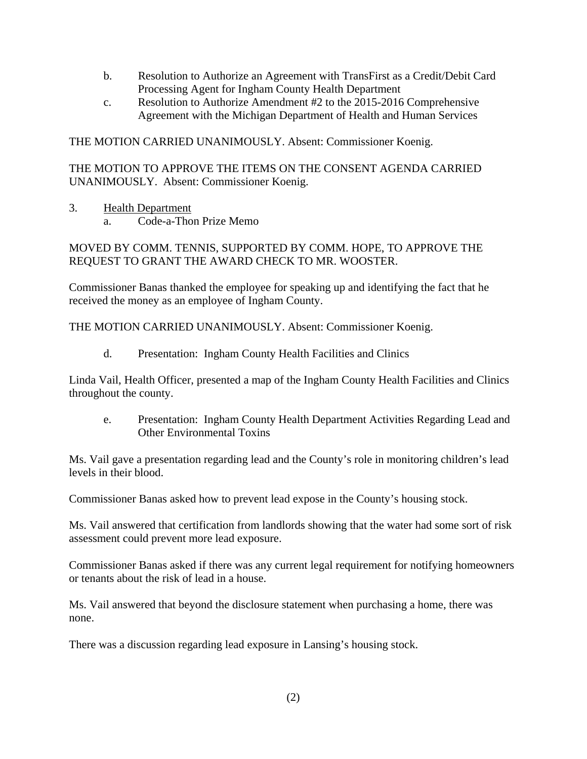- b. Resolution to Authorize an Agreement with TransFirst as a Credit/Debit Card Processing Agent for Ingham County Health Department
- c. Resolution to Authorize Amendment #2 to the 2015-2016 Comprehensive Agreement with the Michigan Department of Health and Human Services

THE MOTION CARRIED UNANIMOUSLY. Absent: Commissioner Koenig.

THE MOTION TO APPROVE THE ITEMS ON THE CONSENT AGENDA CARRIED UNANIMOUSLY. Absent: Commissioner Koenig.

### 3. Health Department

a. Code-a-Thon Prize Memo

MOVED BY COMM. TENNIS, SUPPORTED BY COMM. HOPE, TO APPROVE THE REQUEST TO GRANT THE AWARD CHECK TO MR. WOOSTER.

Commissioner Banas thanked the employee for speaking up and identifying the fact that he received the money as an employee of Ingham County.

THE MOTION CARRIED UNANIMOUSLY. Absent: Commissioner Koenig.

d. Presentation: Ingham County Health Facilities and Clinics

Linda Vail, Health Officer, presented a map of the Ingham County Health Facilities and Clinics throughout the county.

e. Presentation: Ingham County Health Department Activities Regarding Lead and Other Environmental Toxins

Ms. Vail gave a presentation regarding lead and the County's role in monitoring children's lead levels in their blood.

Commissioner Banas asked how to prevent lead expose in the County's housing stock.

Ms. Vail answered that certification from landlords showing that the water had some sort of risk assessment could prevent more lead exposure.

Commissioner Banas asked if there was any current legal requirement for notifying homeowners or tenants about the risk of lead in a house.

Ms. Vail answered that beyond the disclosure statement when purchasing a home, there was none.

There was a discussion regarding lead exposure in Lansing's housing stock.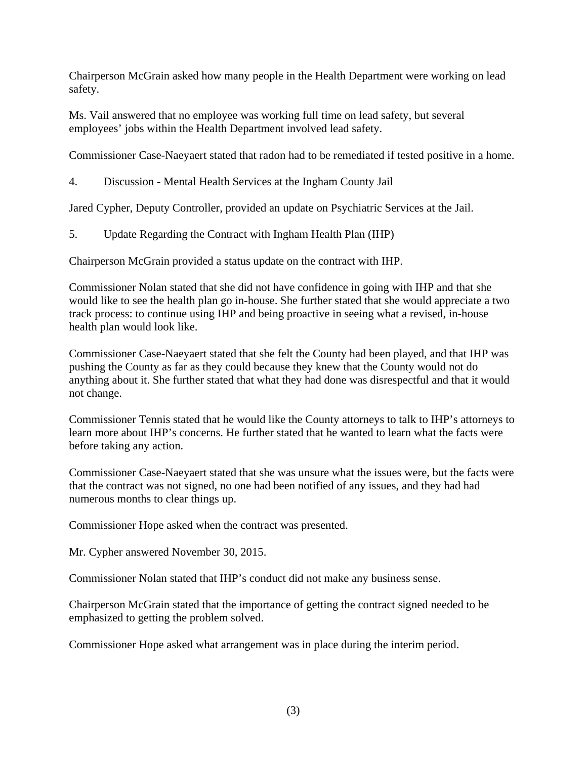Chairperson McGrain asked how many people in the Health Department were working on lead safety.

Ms. Vail answered that no employee was working full time on lead safety, but several employees' jobs within the Health Department involved lead safety.

Commissioner Case-Naeyaert stated that radon had to be remediated if tested positive in a home.

4. Discussion - Mental Health Services at the Ingham County Jail

Jared Cypher, Deputy Controller, provided an update on Psychiatric Services at the Jail.

5. Update Regarding the Contract with Ingham Health Plan (IHP)

Chairperson McGrain provided a status update on the contract with IHP.

Commissioner Nolan stated that she did not have confidence in going with IHP and that she would like to see the health plan go in-house. She further stated that she would appreciate a two track process: to continue using IHP and being proactive in seeing what a revised, in-house health plan would look like.

Commissioner Case-Naeyaert stated that she felt the County had been played, and that IHP was pushing the County as far as they could because they knew that the County would not do anything about it. She further stated that what they had done was disrespectful and that it would not change.

Commissioner Tennis stated that he would like the County attorneys to talk to IHP's attorneys to learn more about IHP's concerns. He further stated that he wanted to learn what the facts were before taking any action.

Commissioner Case-Naeyaert stated that she was unsure what the issues were, but the facts were that the contract was not signed, no one had been notified of any issues, and they had had numerous months to clear things up.

Commissioner Hope asked when the contract was presented.

Mr. Cypher answered November 30, 2015.

Commissioner Nolan stated that IHP's conduct did not make any business sense.

Chairperson McGrain stated that the importance of getting the contract signed needed to be emphasized to getting the problem solved.

Commissioner Hope asked what arrangement was in place during the interim period.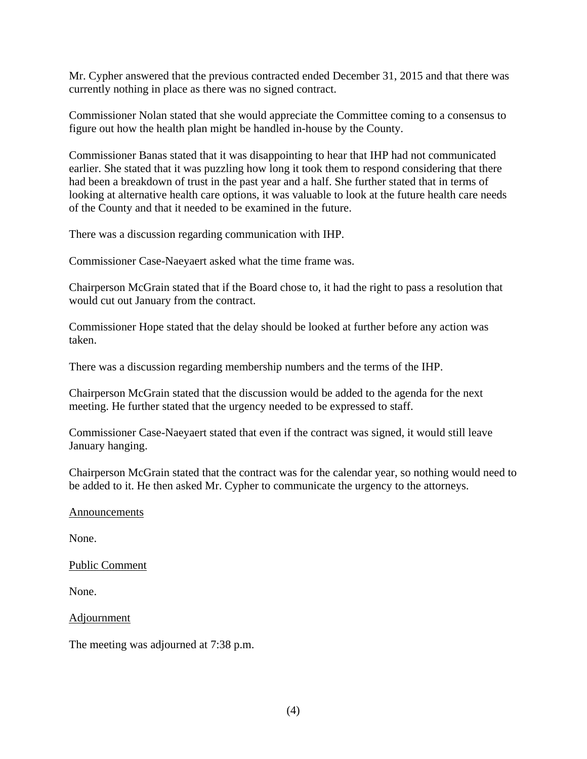Mr. Cypher answered that the previous contracted ended December 31, 2015 and that there was currently nothing in place as there was no signed contract.

Commissioner Nolan stated that she would appreciate the Committee coming to a consensus to figure out how the health plan might be handled in-house by the County.

Commissioner Banas stated that it was disappointing to hear that IHP had not communicated earlier. She stated that it was puzzling how long it took them to respond considering that there had been a breakdown of trust in the past year and a half. She further stated that in terms of looking at alternative health care options, it was valuable to look at the future health care needs of the County and that it needed to be examined in the future.

There was a discussion regarding communication with IHP.

Commissioner Case-Naeyaert asked what the time frame was.

Chairperson McGrain stated that if the Board chose to, it had the right to pass a resolution that would cut out January from the contract.

Commissioner Hope stated that the delay should be looked at further before any action was taken.

There was a discussion regarding membership numbers and the terms of the IHP.

Chairperson McGrain stated that the discussion would be added to the agenda for the next meeting. He further stated that the urgency needed to be expressed to staff.

Commissioner Case-Naeyaert stated that even if the contract was signed, it would still leave January hanging.

Chairperson McGrain stated that the contract was for the calendar year, so nothing would need to be added to it. He then asked Mr. Cypher to communicate the urgency to the attorneys.

#### Announcements

None.

Public Comment

None.

Adjournment

The meeting was adjourned at 7:38 p.m.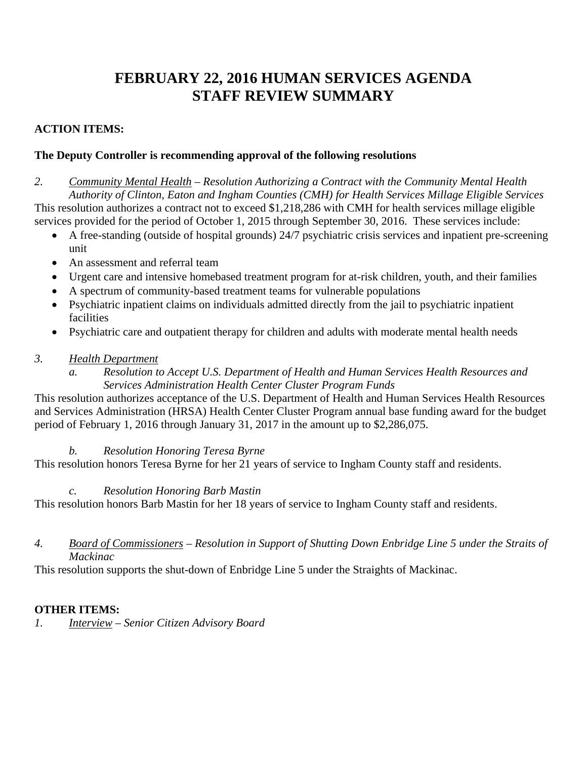# **FEBRUARY 22, 2016 HUMAN SERVICES AGENDA STAFF REVIEW SUMMARY**

# **ACTION ITEMS:**

# **The Deputy Controller is recommending approval of the following resolutions**

*2. Community Mental Health – Resolution Authorizing a Contract with the Community Mental Health Authority of Clinton, Eaton and Ingham Counties (CMH) for Health Services Millage Eligible Services*  This resolution authorizes a contract not to exceed \$1,218,286 with CMH for health services millage eligible services provided for the period of October 1, 2015 through September 30, 2016. These services include:

- A free-standing (outside of hospital grounds) 24/7 psychiatric crisis services and inpatient pre-screening unit
- An assessment and referral team
- Urgent care and intensive homebased treatment program for at-risk children, youth, and their families
- A spectrum of community-based treatment teams for vulnerable populations
- Psychiatric inpatient claims on individuals admitted directly from the jail to psychiatric inpatient facilities
- Psychiatric care and outpatient therapy for children and adults with moderate mental health needs

# *3. Health Department*

*a. Resolution to Accept U.S. Department of Health and Human Services Health Resources and Services Administration Health Center Cluster Program Funds* 

This resolution authorizes acceptance of the U.S. Department of Health and Human Services Health Resources and Services Administration (HRSA) Health Center Cluster Program annual base funding award for the budget period of February 1, 2016 through January 31, 2017 in the amount up to \$2,286,075.

# *b. Resolution Honoring Teresa Byrne*

This resolution honors Teresa Byrne for her 21 years of service to Ingham County staff and residents.

# *c. Resolution Honoring Barb Mastin*

This resolution honors Barb Mastin for her 18 years of service to Ingham County staff and residents.

### *4. Board of Commissioners – Resolution in Support of Shutting Down Enbridge Line 5 under the Straits of Mackinac*

This resolution supports the shut-down of Enbridge Line 5 under the Straights of Mackinac.

# **OTHER ITEMS:**

*1. Interview – Senior Citizen Advisory Board*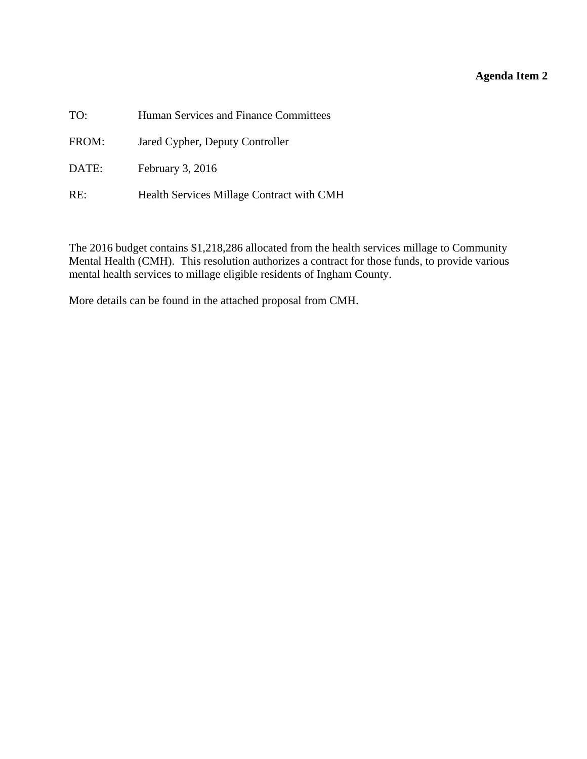# **Agenda Item 2**

<span id="page-6-0"></span>

| TO:   | Human Services and Finance Committees     |
|-------|-------------------------------------------|
| FROM: | Jared Cypher, Deputy Controller           |
| DATE: | February $3, 2016$                        |
| RE:   | Health Services Millage Contract with CMH |

The 2016 budget contains \$1,218,286 allocated from the health services millage to Community Mental Health (CMH). This resolution authorizes a contract for those funds, to provide various mental health services to millage eligible residents of Ingham County.

More details can be found in the attached proposal from CMH.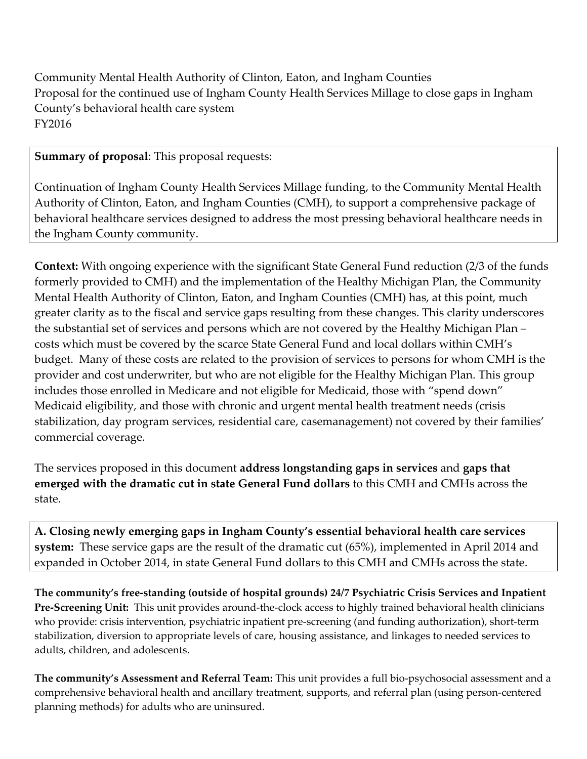Community Mental Health Authority of Clinton, Eaton, and Ingham Counties Proposal for the continued use of Ingham County Health Services Millage to close gaps in Ingham County's behavioral health care system FY2016

**Summary of proposal**: This proposal requests:

Continuation of Ingham County Health Services Millage funding, to the Community Mental Health Authority of Clinton, Eaton, and Ingham Counties (CMH), to support a comprehensive package of behavioral healthcare services designed to address the most pressing behavioral healthcare needs in the Ingham County community.

**Context:** With ongoing experience with the significant State General Fund reduction (2/3 of the funds formerly provided to CMH) and the implementation of the Healthy Michigan Plan, the Community Mental Health Authority of Clinton, Eaton, and Ingham Counties (CMH) has, at this point, much greater clarity as to the fiscal and service gaps resulting from these changes. This clarity underscores the substantial set of services and persons which are not covered by the Healthy Michigan Plan – costs which must be covered by the scarce State General Fund and local dollars within CMH's budget. Many of these costs are related to the provision of services to persons for whom CMH is the provider and cost underwriter, but who are not eligible for the Healthy Michigan Plan. This group includes those enrolled in Medicare and not eligible for Medicaid, those with "spend down" Medicaid eligibility, and those with chronic and urgent mental health treatment needs (crisis stabilization, day program services, residential care, casemanagement) not covered by their families' commercial coverage.

The services proposed in this document **address longstanding gaps in services** and **gaps that emerged with the dramatic cut in state General Fund dollars** to this CMH and CMHs across the state.

**A. Closing newly emerging gaps in Ingham County's essential behavioral health care services system:** These service gaps are the result of the dramatic cut (65%), implemented in April 2014 and expanded in October 2014, in state General Fund dollars to this CMH and CMHs across the state.

**The community's free‐standing (outside of hospital grounds) 24/7 Psychiatric Crisis Services and Inpatient Pre‐Screening Unit:** This unit provides around‐the‐clock access to highly trained behavioral health clinicians who provide: crisis intervention, psychiatric inpatient pre-screening (and funding authorization), short-term stabilization, diversion to appropriate levels of care, housing assistance, and linkages to needed services to adults, children, and adolescents.

**The community's Assessment and Referral Team:** This unit provides a full bio‐psychosocial assessment and a comprehensive behavioral health and ancillary treatment, supports, and referral plan (using person‐centered planning methods) for adults who are uninsured.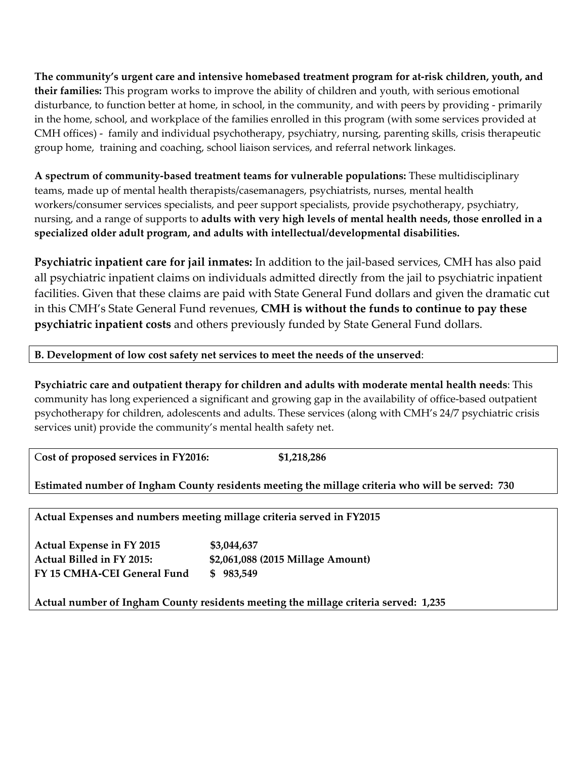**The community's urgent care and intensive homebased treatment program for at‐risk children, youth, and their families:** This program works to improve the ability of children and youth, with serious emotional disturbance, to function better at home, in school, in the community, and with peers by providing ‐ primarily in the home, school, and workplace of the families enrolled in this program (with some services provided at CMH offices) ‐ family and individual psychotherapy, psychiatry, nursing, parenting skills, crisis therapeutic group home, training and coaching, school liaison services, and referral network linkages.

**A spectrum of community‐based treatment teams for vulnerable populations:** These multidisciplinary teams, made up of mental health therapists/casemanagers, psychiatrists, nurses, mental health workers/consumer services specialists, and peer support specialists, provide psychotherapy, psychiatry, nursing, and a range of supports to **adults with very high levels of mental health needs, those enrolled in a specialized older adult program, and adults with intellectual/developmental disabilities.** 

**Psychiatric inpatient care for jail inmates:** In addition to the jail‐based services, CMH has also paid all psychiatric inpatient claims on individuals admitted directly from the jail to psychiatric inpatient facilities. Given that these claims are paid with State General Fund dollars and given the dramatic cut in this CMH's State General Fund revenues, **CMH is without the funds to continue to pay these psychiatric inpatient costs** and others previously funded by State General Fund dollars.

### **B. Development of low cost safety net services to meet the needs of the unserved**:

**Psychiatric care and outpatient therapy for children and adults with moderate mental health needs**: This community has long experienced a significant and growing gap in the availability of office‐based outpatient psychotherapy for children, adolescents and adults. These services (along with CMH's 24/7 psychiatric crisis services unit) provide the community's mental health safety net.

C**ost of proposed services in FY2016: \$1,218,286**

**Estimated number of Ingham County residents meeting the millage criteria who will be served: 730**

**Actual Expenses and numbers meeting millage criteria served in FY2015**

**Actual Expense in FY 2015 \$3,044,637 Actual Billed in FY 2015: \$2,061,088 (2015 Millage Amount) FY 15 CMHA‐CEI General Fund \$ 983,549**

**Actual number of Ingham County residents meeting the millage criteria served: 1,235**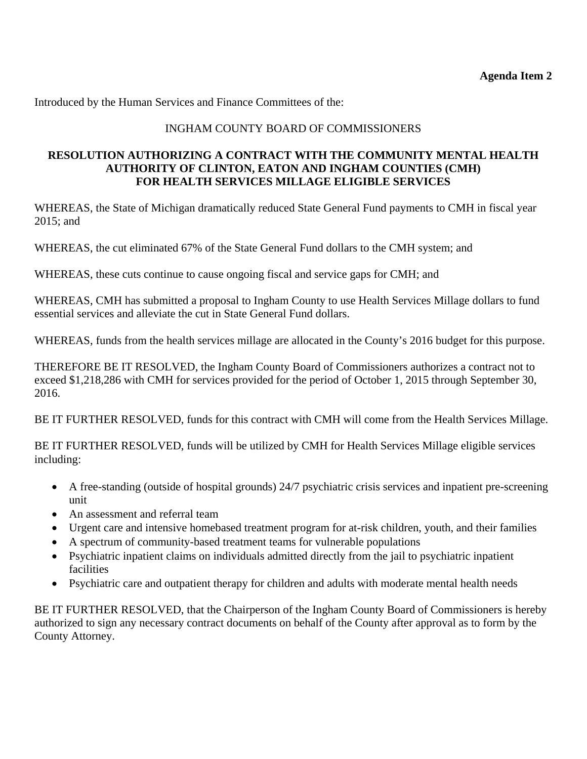Introduced by the Human Services and Finance Committees of the:

### INGHAM COUNTY BOARD OF COMMISSIONERS

### **RESOLUTION AUTHORIZING A CONTRACT WITH THE COMMUNITY MENTAL HEALTH AUTHORITY OF CLINTON, EATON AND INGHAM COUNTIES (CMH) FOR HEALTH SERVICES MILLAGE ELIGIBLE SERVICES**

WHEREAS, the State of Michigan dramatically reduced State General Fund payments to CMH in fiscal year 2015; and

WHEREAS, the cut eliminated 67% of the State General Fund dollars to the CMH system; and

WHEREAS, these cuts continue to cause ongoing fiscal and service gaps for CMH; and

WHEREAS, CMH has submitted a proposal to Ingham County to use Health Services Millage dollars to fund essential services and alleviate the cut in State General Fund dollars.

WHEREAS, funds from the health services millage are allocated in the County's 2016 budget for this purpose.

THEREFORE BE IT RESOLVED, the Ingham County Board of Commissioners authorizes a contract not to exceed \$1,218,286 with CMH for services provided for the period of October 1, 2015 through September 30, 2016.

BE IT FURTHER RESOLVED, funds for this contract with CMH will come from the Health Services Millage.

BE IT FURTHER RESOLVED, funds will be utilized by CMH for Health Services Millage eligible services including:

- A free-standing (outside of hospital grounds) 24/7 psychiatric crisis services and inpatient pre-screening unit
- An assessment and referral team
- Urgent care and intensive homebased treatment program for at-risk children, youth, and their families
- A spectrum of community-based treatment teams for vulnerable populations
- Psychiatric inpatient claims on individuals admitted directly from the jail to psychiatric inpatient facilities
- Psychiatric care and outpatient therapy for children and adults with moderate mental health needs

BE IT FURTHER RESOLVED, that the Chairperson of the Ingham County Board of Commissioners is hereby authorized to sign any necessary contract documents on behalf of the County after approval as to form by the County Attorney.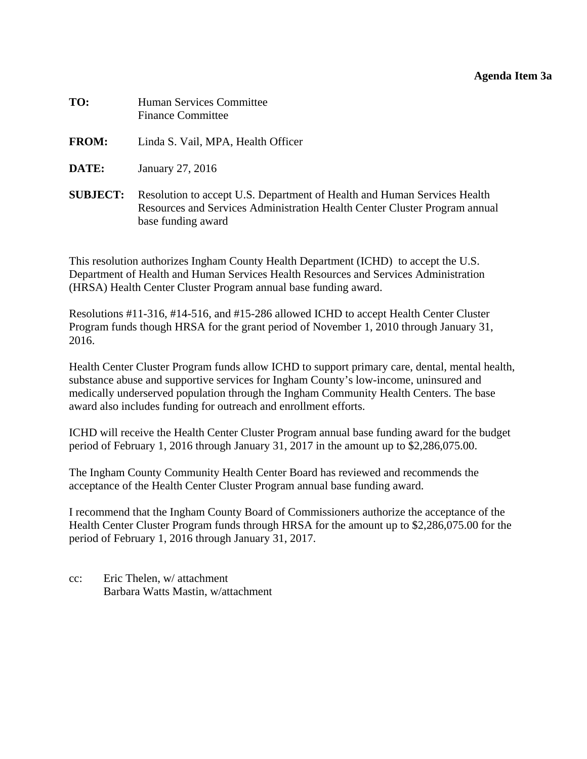#### **Agenda Item 3a**

<span id="page-10-0"></span>

| TO:             | Human Services Committee<br><b>Finance Committee</b>                                                                                                                         |
|-----------------|------------------------------------------------------------------------------------------------------------------------------------------------------------------------------|
| <b>FROM:</b>    | Linda S. Vail, MPA, Health Officer                                                                                                                                           |
| DATE:           | January 27, 2016                                                                                                                                                             |
| <b>SUBJECT:</b> | Resolution to accept U.S. Department of Health and Human Services Health<br>Resources and Services Administration Health Center Cluster Program annual<br>base funding award |

This resolution authorizes Ingham County Health Department (ICHD) to accept the U.S. Department of Health and Human Services Health Resources and Services Administration (HRSA) Health Center Cluster Program annual base funding award.

Resolutions #11-316, #14-516, and #15-286 allowed ICHD to accept Health Center Cluster Program funds though HRSA for the grant period of November 1, 2010 through January 31, 2016.

Health Center Cluster Program funds allow ICHD to support primary care, dental, mental health, substance abuse and supportive services for Ingham County's low-income, uninsured and medically underserved population through the Ingham Community Health Centers. The base award also includes funding for outreach and enrollment efforts.

ICHD will receive the Health Center Cluster Program annual base funding award for the budget period of February 1, 2016 through January 31, 2017 in the amount up to \$2,286,075.00.

The Ingham County Community Health Center Board has reviewed and recommends the acceptance of the Health Center Cluster Program annual base funding award.

I recommend that the Ingham County Board of Commissioners authorize the acceptance of the Health Center Cluster Program funds through HRSA for the amount up to \$2,286,075.00 for the period of February 1, 2016 through January 31, 2017.

cc: Eric Thelen, w/ attachment Barbara Watts Mastin, w/attachment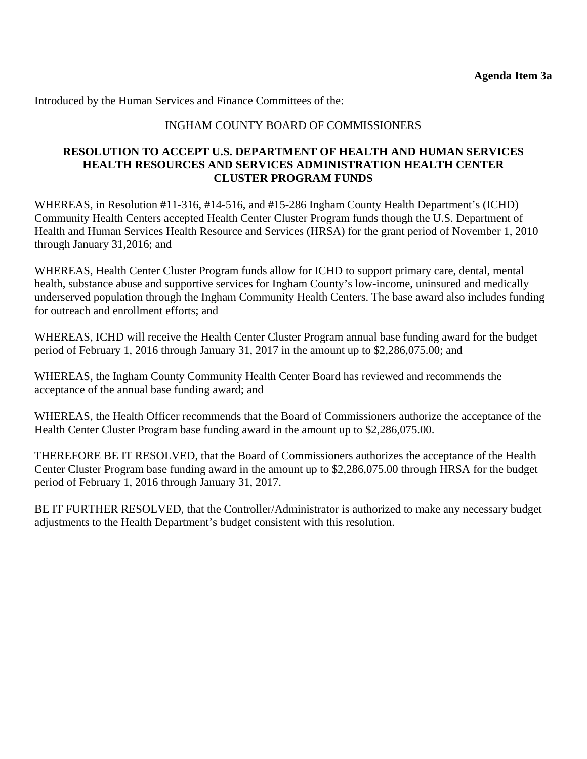Introduced by the Human Services and Finance Committees of the:

#### INGHAM COUNTY BOARD OF COMMISSIONERS

#### **RESOLUTION TO ACCEPT U.S. DEPARTMENT OF HEALTH AND HUMAN SERVICES HEALTH RESOURCES AND SERVICES ADMINISTRATION HEALTH CENTER CLUSTER PROGRAM FUNDS**

WHEREAS, in Resolution #11-316, #14-516, and #15-286 Ingham County Health Department's (ICHD) Community Health Centers accepted Health Center Cluster Program funds though the U.S. Department of Health and Human Services Health Resource and Services (HRSA) for the grant period of November 1, 2010 through January 31,2016; and

WHEREAS, Health Center Cluster Program funds allow for ICHD to support primary care, dental, mental health, substance abuse and supportive services for Ingham County's low-income, uninsured and medically underserved population through the Ingham Community Health Centers. The base award also includes funding for outreach and enrollment efforts; and

WHEREAS, ICHD will receive the Health Center Cluster Program annual base funding award for the budget period of February 1, 2016 through January 31, 2017 in the amount up to \$2,286,075.00; and

WHEREAS, the Ingham County Community Health Center Board has reviewed and recommends the acceptance of the annual base funding award; and

WHEREAS, the Health Officer recommends that the Board of Commissioners authorize the acceptance of the Health Center Cluster Program base funding award in the amount up to \$2,286,075.00.

THEREFORE BE IT RESOLVED, that the Board of Commissioners authorizes the acceptance of the Health Center Cluster Program base funding award in the amount up to \$2,286,075.00 through HRSA for the budget period of February 1, 2016 through January 31, 2017.

BE IT FURTHER RESOLVED, that the Controller/Administrator is authorized to make any necessary budget adjustments to the Health Department's budget consistent with this resolution.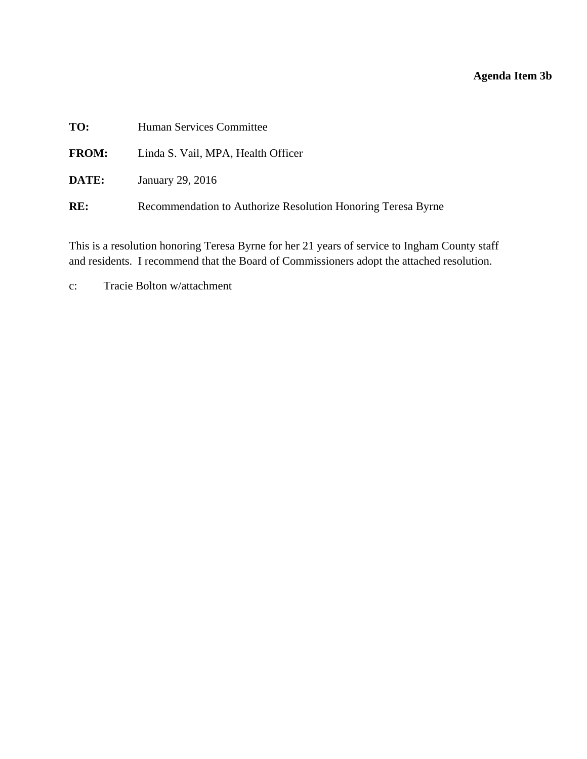# **Agenda Item 3b**

<span id="page-12-0"></span>

| TO:          | Human Services Committee                                     |
|--------------|--------------------------------------------------------------|
| <b>FROM:</b> | Linda S. Vail, MPA, Health Officer                           |
| <b>DATE:</b> | January 29, 2016                                             |
| RE:          | Recommendation to Authorize Resolution Honoring Teresa Byrne |
|              |                                                              |

This is a resolution honoring Teresa Byrne for her 21 years of service to Ingham County staff and residents. I recommend that the Board of Commissioners adopt the attached resolution.

c: Tracie Bolton w/attachment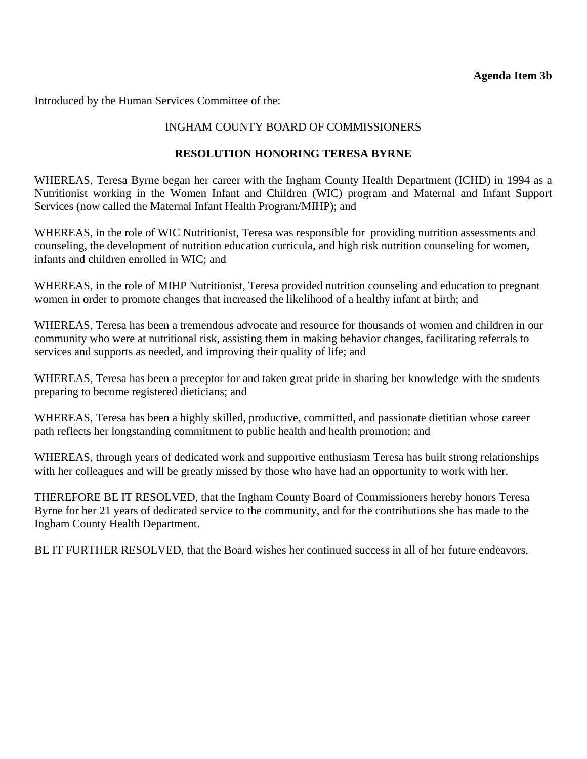Introduced by the Human Services Committee of the:

### INGHAM COUNTY BOARD OF COMMISSIONERS

### **RESOLUTION HONORING TERESA BYRNE**

WHEREAS, Teresa Byrne began her career with the Ingham County Health Department (ICHD) in 1994 as a Nutritionist working in the Women Infant and Children (WIC) program and Maternal and Infant Support Services (now called the Maternal Infant Health Program/MIHP); and

WHEREAS, in the role of WIC Nutritionist, Teresa was responsible for providing nutrition assessments and counseling, the development of nutrition education curricula, and high risk nutrition counseling for women, infants and children enrolled in WIC; and

WHEREAS, in the role of MIHP Nutritionist, Teresa provided nutrition counseling and education to pregnant women in order to promote changes that increased the likelihood of a healthy infant at birth; and

WHEREAS, Teresa has been a tremendous advocate and resource for thousands of women and children in our community who were at nutritional risk, assisting them in making behavior changes, facilitating referrals to services and supports as needed, and improving their quality of life; and

WHEREAS, Teresa has been a preceptor for and taken great pride in sharing her knowledge with the students preparing to become registered dieticians; and

WHEREAS, Teresa has been a highly skilled, productive, committed, and passionate dietitian whose career path reflects her longstanding commitment to public health and health promotion; and

WHEREAS, through years of dedicated work and supportive enthusiasm Teresa has built strong relationships with her colleagues and will be greatly missed by those who have had an opportunity to work with her.

THEREFORE BE IT RESOLVED, that the Ingham County Board of Commissioners hereby honors Teresa Byrne for her 21 years of dedicated service to the community, and for the contributions she has made to the Ingham County Health Department.

BE IT FURTHER RESOLVED, that the Board wishes her continued success in all of her future endeavors.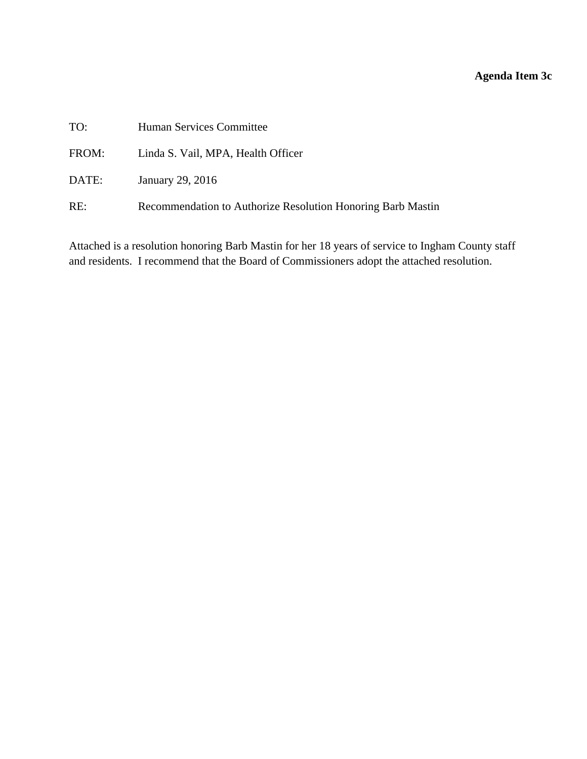# **Agenda Item 3c**

<span id="page-14-0"></span>

| TO:   | Human Services Committee                                    |
|-------|-------------------------------------------------------------|
| FROM: | Linda S. Vail, MPA, Health Officer                          |
| DATE: | January 29, 2016                                            |
| RE:   | Recommendation to Authorize Resolution Honoring Barb Mastin |

Attached is a resolution honoring Barb Mastin for her 18 years of service to Ingham County staff and residents. I recommend that the Board of Commissioners adopt the attached resolution.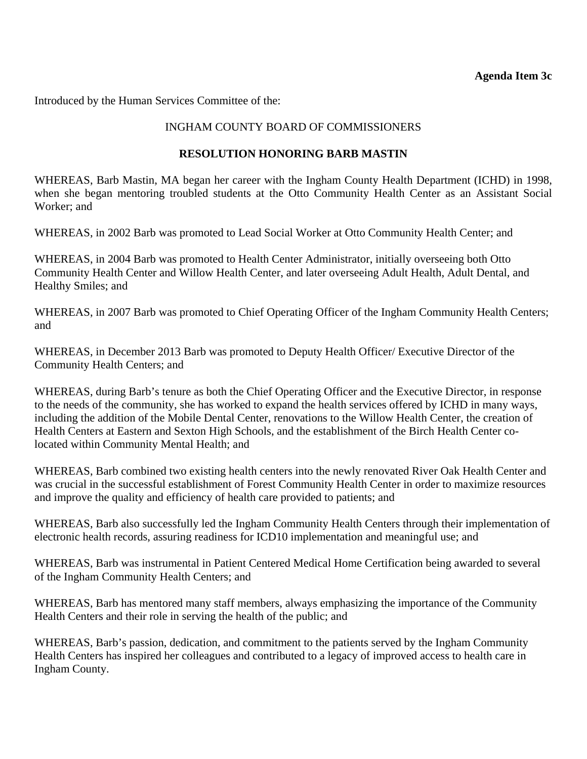Introduced by the Human Services Committee of the:

#### INGHAM COUNTY BOARD OF COMMISSIONERS

#### **RESOLUTION HONORING BARB MASTIN**

WHEREAS, Barb Mastin, MA began her career with the Ingham County Health Department (ICHD) in 1998, when she began mentoring troubled students at the Otto Community Health Center as an Assistant Social Worker; and

WHEREAS, in 2002 Barb was promoted to Lead Social Worker at Otto Community Health Center; and

WHEREAS, in 2004 Barb was promoted to Health Center Administrator, initially overseeing both Otto Community Health Center and Willow Health Center, and later overseeing Adult Health, Adult Dental, and Healthy Smiles; and

WHEREAS, in 2007 Barb was promoted to Chief Operating Officer of the Ingham Community Health Centers; and

WHEREAS, in December 2013 Barb was promoted to Deputy Health Officer/ Executive Director of the Community Health Centers; and

WHEREAS, during Barb's tenure as both the Chief Operating Officer and the Executive Director, in response to the needs of the community, she has worked to expand the health services offered by ICHD in many ways, including the addition of the Mobile Dental Center, renovations to the Willow Health Center, the creation of Health Centers at Eastern and Sexton High Schools, and the establishment of the Birch Health Center colocated within Community Mental Health; and

WHEREAS, Barb combined two existing health centers into the newly renovated River Oak Health Center and was crucial in the successful establishment of Forest Community Health Center in order to maximize resources and improve the quality and efficiency of health care provided to patients; and

WHEREAS, Barb also successfully led the Ingham Community Health Centers through their implementation of electronic health records, assuring readiness for ICD10 implementation and meaningful use; and

WHEREAS, Barb was instrumental in Patient Centered Medical Home Certification being awarded to several of the Ingham Community Health Centers; and

WHEREAS, Barb has mentored many staff members, always emphasizing the importance of the Community Health Centers and their role in serving the health of the public; and

WHEREAS, Barb's passion, dedication, and commitment to the patients served by the Ingham Community Health Centers has inspired her colleagues and contributed to a legacy of improved access to health care in Ingham County.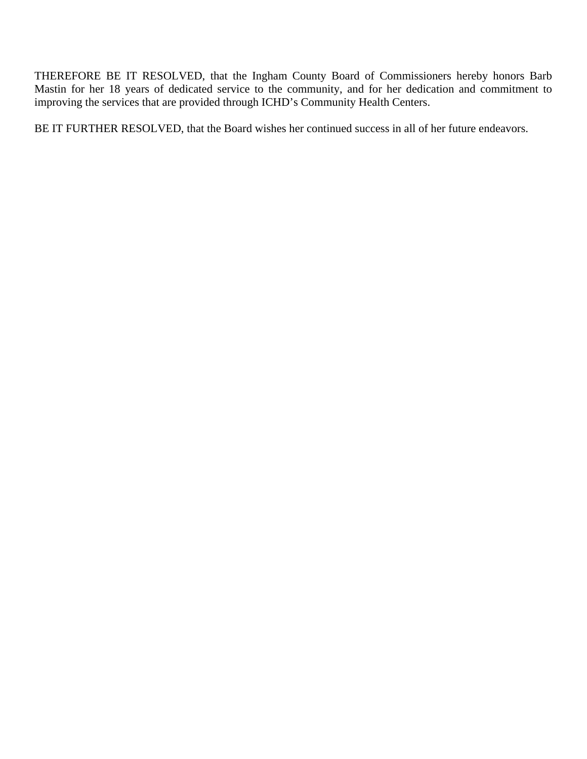THEREFORE BE IT RESOLVED, that the Ingham County Board of Commissioners hereby honors Barb Mastin for her 18 years of dedicated service to the community, and for her dedication and commitment to improving the services that are provided through ICHD's Community Health Centers.

BE IT FURTHER RESOLVED, that the Board wishes her continued success in all of her future endeavors.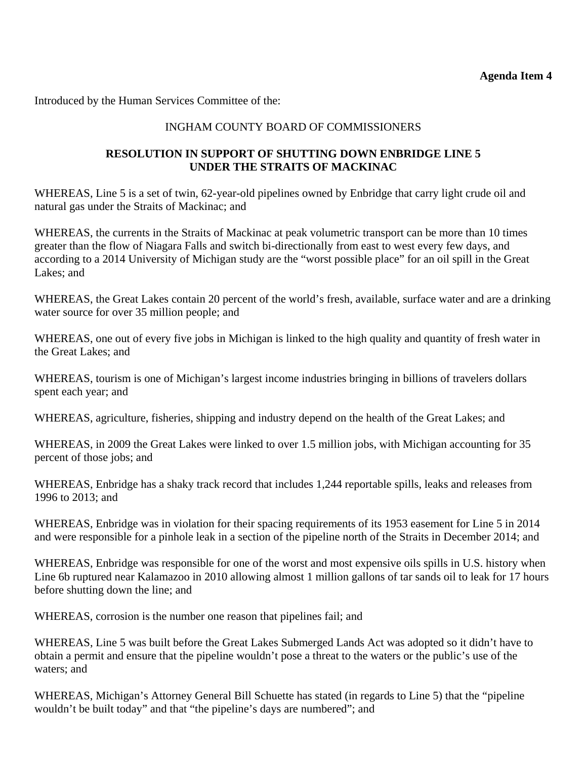<span id="page-17-0"></span>Introduced by the Human Services Committee of the:

### INGHAM COUNTY BOARD OF COMMISSIONERS

### **RESOLUTION IN SUPPORT OF SHUTTING DOWN ENBRIDGE LINE 5 UNDER THE STRAITS OF MACKINAC**

WHEREAS, Line 5 is a set of twin, 62-year-old pipelines owned by Enbridge that carry light crude oil and natural gas under the Straits of Mackinac; and

WHEREAS, the currents in the Straits of Mackinac at peak volumetric transport can be more than 10 times greater than the flow of Niagara Falls and switch bi-directionally from east to west every few days, and according to a 2014 University of Michigan study are the "worst possible place" for an oil spill in the Great Lakes; and

WHEREAS, the Great Lakes contain 20 percent of the world's fresh, available, surface water and are a drinking water source for over 35 million people; and

WHEREAS, one out of every five jobs in Michigan is linked to the high quality and quantity of fresh water in the Great Lakes; and

WHEREAS, tourism is one of Michigan's largest income industries bringing in billions of travelers dollars spent each year; and

WHEREAS, agriculture, fisheries, shipping and industry depend on the health of the Great Lakes; and

WHEREAS, in 2009 the Great Lakes were linked to over 1.5 million jobs, with Michigan accounting for 35 percent of those jobs; and

WHEREAS, Enbridge has a shaky track record that includes 1,244 reportable spills, leaks and releases from 1996 to 2013; and

WHEREAS, Enbridge was in violation for their spacing requirements of its 1953 easement for Line 5 in 2014 and were responsible for a pinhole leak in a section of the pipeline north of the Straits in December 2014; and

WHEREAS, Enbridge was responsible for one of the worst and most expensive oils spills in U.S. history when Line 6b ruptured near Kalamazoo in 2010 allowing almost 1 million gallons of tar sands oil to leak for 17 hours before shutting down the line; and

WHEREAS, corrosion is the number one reason that pipelines fail; and

WHEREAS, Line 5 was built before the Great Lakes Submerged Lands Act was adopted so it didn't have to obtain a permit and ensure that the pipeline wouldn't pose a threat to the waters or the public's use of the waters; and

WHEREAS, Michigan's Attorney General Bill Schuette has stated (in regards to Line 5) that the "pipeline wouldn't be built today" and that "the pipeline's days are numbered"; and